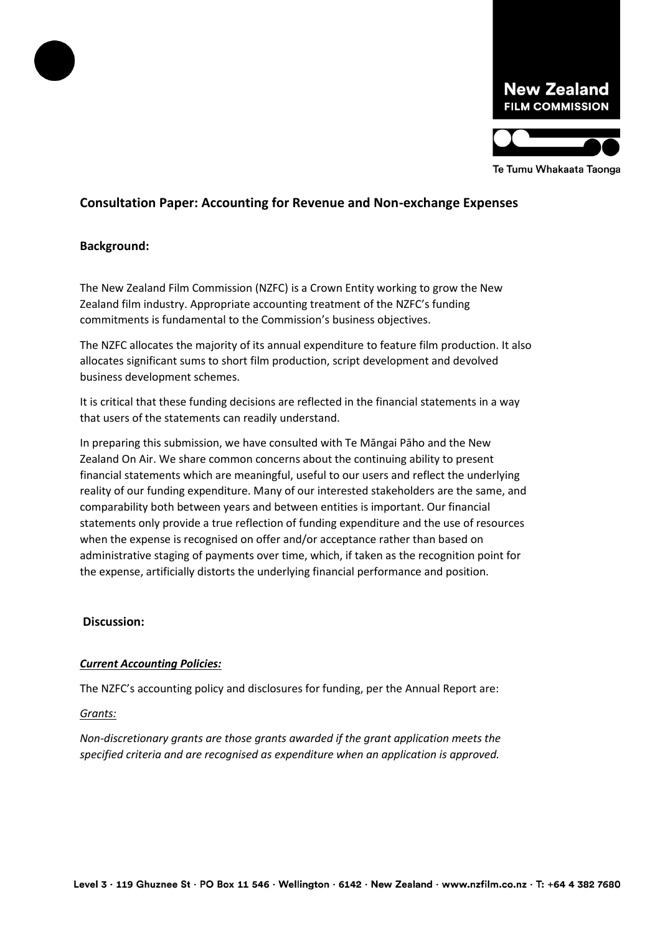

# **Consultation Paper: Accounting for Revenue and Non-exchange Expenses**

# **Background:**

The New Zealand Film Commission (NZFC) is a Crown Entity working to grow the New Zealand film industry. Appropriate accounting treatment of the NZFC's funding commitments is fundamental to the Commission's business objectives.

The NZFC allocates the majority of its annual expenditure to feature film production. It also allocates significant sums to short film production, script development and devolved business development schemes.

It is critical that these funding decisions are reflected in the financial statements in a way that users of the statements can readily understand.

In preparing this submission, we have consulted with Te Māngai Pāho and the New Zealand On Air. We share common concerns about the continuing ability to present financial statements which are meaningful, useful to our users and reflect the underlying reality of our funding expenditure. Many of our interested stakeholders are the same, and comparability both between years and between entities is important. Our financial statements only provide a true reflection of funding expenditure and the use of resources when the expense is recognised on offer and/or acceptance rather than based on administrative staging of payments over time, which, if taken as the recognition point for the expense, artificially distorts the underlying financial performance and position.

#### **Discussion:**

## *Current Accounting Policies:*

The NZFC's accounting policy and disclosures for funding, per the Annual Report are:

#### *Grants:*

*Non-discretionary grants are those grants awarded if the grant application meets the specified criteria and are recognised as expenditure when an application is approved.*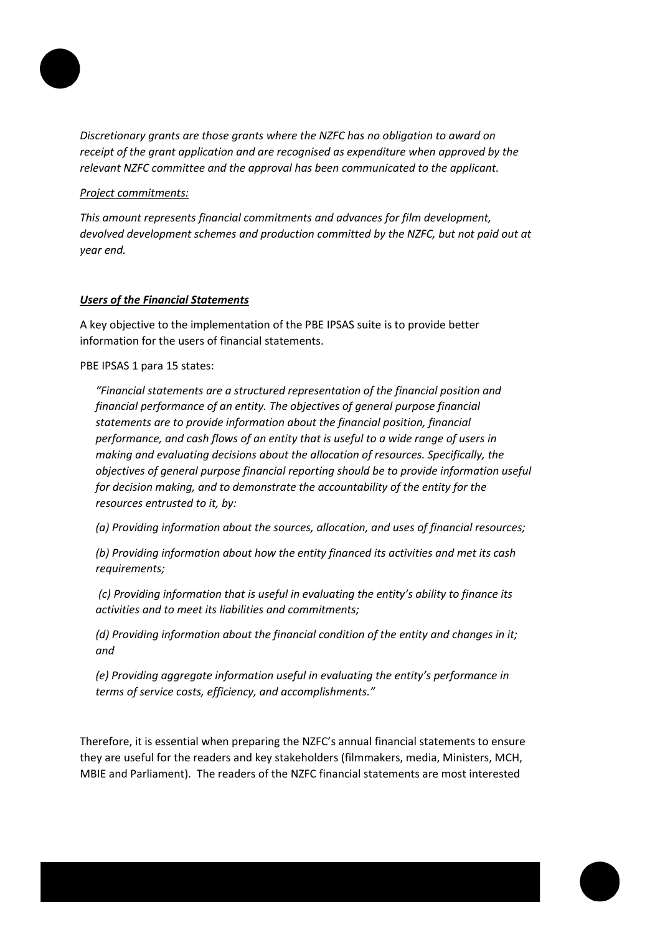

*Discretionary grants are those grants where the NZFC has no obligation to award on receipt of the grant application and are recognised as expenditure when approved by the relevant NZFC committee and the approval has been communicated to the applicant.*

*Project commitments:*

*This amount represents financial commitments and advances for film development, devolved development schemes and production committed by the NZFC, but not paid out at year end.*

# *Users of the Financial Statements*

A key objective to the implementation of the PBE IPSAS suite is to provide better information for the users of financial statements.

PBE IPSAS 1 para 15 states:

*"Financial statements are a structured representation of the financial position and financial performance of an entity. The objectives of general purpose financial statements are to provide information about the financial position, financial performance, and cash flows of an entity that is useful to a wide range of users in making and evaluating decisions about the allocation of resources. Specifically, the objectives of general purpose financial reporting should be to provide information useful for decision making, and to demonstrate the accountability of the entity for the resources entrusted to it, by:*

*(a) Providing information about the sources, allocation, and uses of financial resources;* 

*(b) Providing information about how the entity financed its activities and met its cash requirements;*

*(c) Providing information that is useful in evaluating the entity's ability to finance its activities and to meet its liabilities and commitments;* 

*(d) Providing information about the financial condition of the entity and changes in it; and* 

*(e) Providing aggregate information useful in evaluating the entity's performance in terms of service costs, efficiency, and accomplishments."*

Therefore, it is essential when preparing the NZFC's annual financial statements to ensure they are useful for the readers and key stakeholders (filmmakers, media, Ministers, MCH, MBIE and Parliament). The readers of the NZFC financial statements are most interested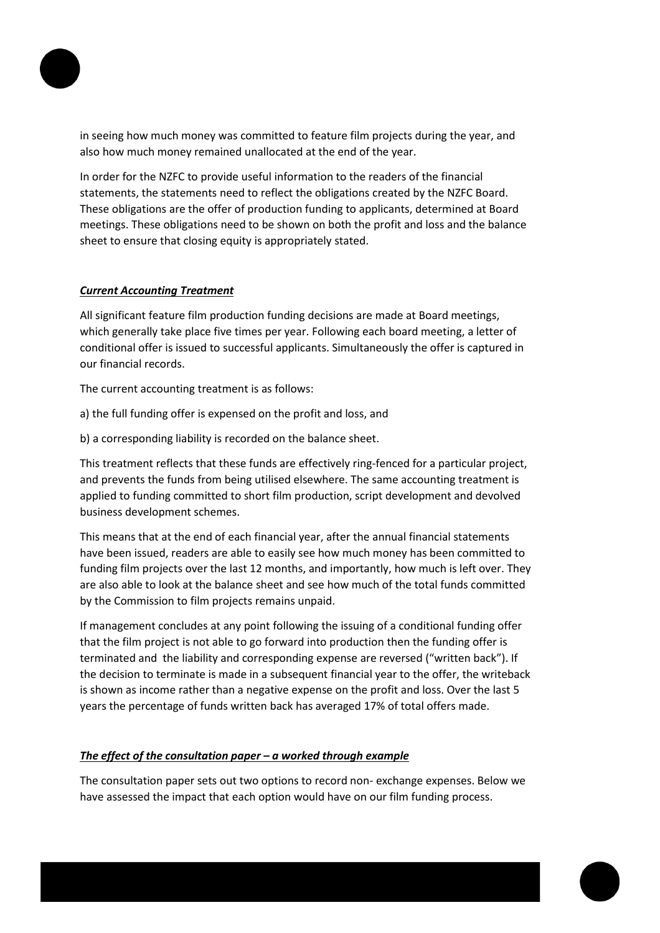

in seeing how much money was committed to feature film projects during the year, and also how much money remained unallocated at the end of the year.

In order for the NZFC to provide useful information to the readers of the financial statements, the statements need to reflect the obligations created by the NZFC Board. These obligations are the offer of production funding to applicants, determined at Board meetings. These obligations need to be shown on both the profit and loss and the balance sheet to ensure that closing equity is appropriately stated.

# *Current Accounting Treatment*

All significant feature film production funding decisions are made at Board meetings, which generally take place five times per year. Following each board meeting, a letter of conditional offer is issued to successful applicants. Simultaneously the offer is captured in our financial records.

The current accounting treatment is as follows:

- a) the full funding offer is expensed on the profit and loss, and
- b) a corresponding liability is recorded on the balance sheet.

This treatment reflects that these funds are effectively ring-fenced for a particular project, and prevents the funds from being utilised elsewhere. The same accounting treatment is applied to funding committed to short film production, script development and devolved business development schemes.

This means that at the end of each financial year, after the annual financial statements have been issued, readers are able to easily see how much money has been committed to funding film projects over the last 12 months, and importantly, how much is left over. They are also able to look at the balance sheet and see how much of the total funds committed by the Commission to film projects remains unpaid.

If management concludes at any point following the issuing of a conditional funding offer that the film project is not able to go forward into production then the funding offer is terminated and the liability and corresponding expense are reversed ("written back"). If the decision to terminate is made in a subsequent financial year to the offer, the writeback is shown as income rather than a negative expense on the profit and loss. Over the last 5 years the percentage of funds written back has averaged 17% of total offers made.

# *The effect of the consultation paper – a worked through example*

The consultation paper sets out two options to record non- exchange expenses. Below we have assessed the impact that each option would have on our film funding process.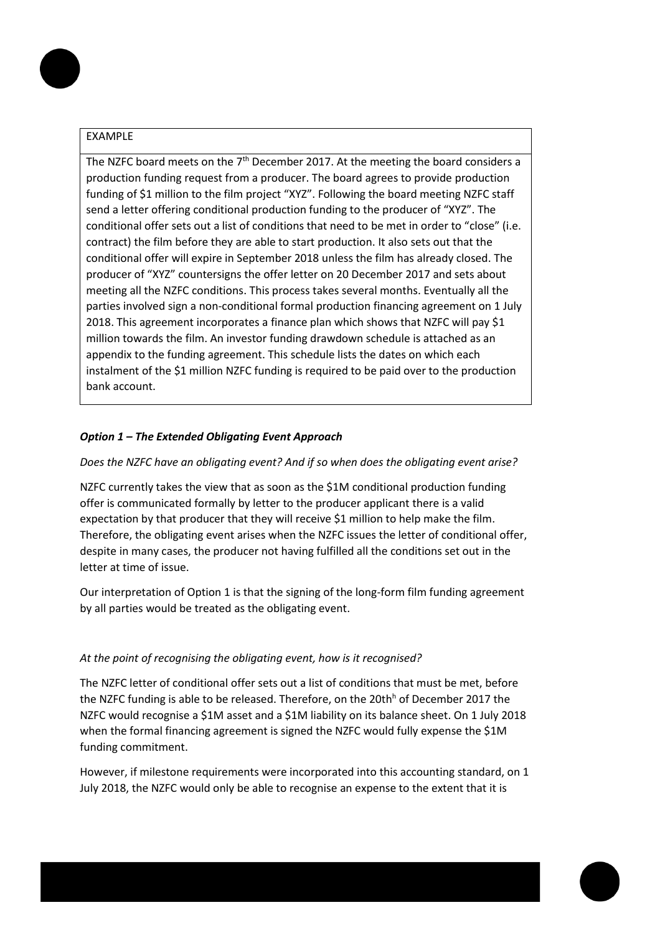## EXAMPLE

The NZFC board meets on the  $7<sup>th</sup>$  December 2017. At the meeting the board considers a production funding request from a producer. The board agrees to provide production funding of \$1 million to the film project "XYZ". Following the board meeting NZFC staff send a letter offering conditional production funding to the producer of "XYZ". The conditional offer sets out a list of conditions that need to be met in order to "close" (i.e. contract) the film before they are able to start production. It also sets out that the conditional offer will expire in September 2018 unless the film has already closed. The producer of "XYZ" countersigns the offer letter on 20 December 2017 and sets about meeting all the NZFC conditions. This process takes several months. Eventually all the parties involved sign a non-conditional formal production financing agreement on 1 July 2018. This agreement incorporates a finance plan which shows that NZFC will pay \$1 million towards the film. An investor funding drawdown schedule is attached as an appendix to the funding agreement. This schedule lists the dates on which each instalment of the \$1 million NZFC funding is required to be paid over to the production bank account.

## *Option 1 – The Extended Obligating Event Approach*

#### *Does the NZFC have an obligating event? And if so when does the obligating event arise?*

NZFC currently takes the view that as soon as the \$1M conditional production funding offer is communicated formally by letter to the producer applicant there is a valid expectation by that producer that they will receive \$1 million to help make the film. Therefore, the obligating event arises when the NZFC issues the letter of conditional offer, despite in many cases, the producer not having fulfilled all the conditions set out in the letter at time of issue.

Our interpretation of Option 1 is that the signing of the long-form film funding agreement by all parties would be treated as the obligating event.

#### *At the point of recognising the obligating event, how is it recognised?*

The NZFC letter of conditional offer sets out a list of conditions that must be met, before the NZFC funding is able to be released. Therefore, on the  $20th<sup>h</sup>$  of December 2017 the NZFC would recognise a \$1M asset and a \$1M liability on its balance sheet. On 1 July 2018 when the formal financing agreement is signed the NZFC would fully expense the \$1M funding commitment.

However, if milestone requirements were incorporated into this accounting standard, on 1 July 2018, the NZFC would only be able to recognise an expense to the extent that it is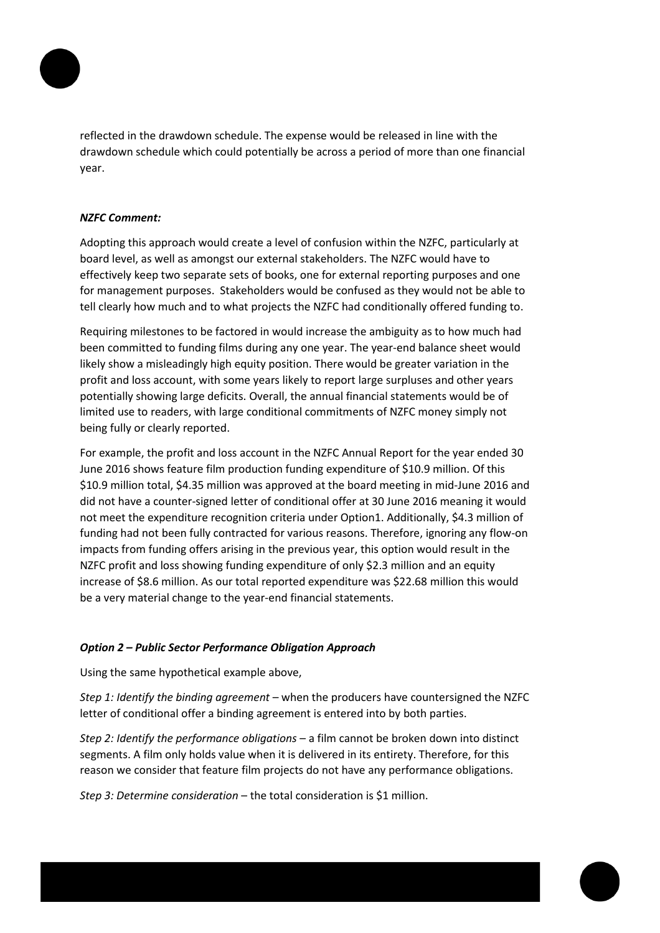

reflected in the drawdown schedule. The expense would be released in line with the drawdown schedule which could potentially be across a period of more than one financial year.

## *NZFC Comment:*

Adopting this approach would create a level of confusion within the NZFC, particularly at board level, as well as amongst our external stakeholders. The NZFC would have to effectively keep two separate sets of books, one for external reporting purposes and one for management purposes. Stakeholders would be confused as they would not be able to tell clearly how much and to what projects the NZFC had conditionally offered funding to.

Requiring milestones to be factored in would increase the ambiguity as to how much had been committed to funding films during any one year. The year-end balance sheet would likely show a misleadingly high equity position. There would be greater variation in the profit and loss account, with some years likely to report large surpluses and other years potentially showing large deficits. Overall, the annual financial statements would be of limited use to readers, with large conditional commitments of NZFC money simply not being fully or clearly reported.

For example, the profit and loss account in the NZFC Annual Report for the year ended 30 June 2016 shows feature film production funding expenditure of \$10.9 million. Of this \$10.9 million total, \$4.35 million was approved at the board meeting in mid-June 2016 and did not have a counter-signed letter of conditional offer at 30 June 2016 meaning it would not meet the expenditure recognition criteria under Option1. Additionally, \$4.3 million of funding had not been fully contracted for various reasons. Therefore, ignoring any flow-on impacts from funding offers arising in the previous year, this option would result in the NZFC profit and loss showing funding expenditure of only \$2.3 million and an equity increase of \$8.6 million. As our total reported expenditure was \$22.68 million this would be a very material change to the year-end financial statements.

## *Option 2 – Public Sector Performance Obligation Approach*

Using the same hypothetical example above,

*Step 1: Identify the binding agreement* – when the producers have countersigned the NZFC letter of conditional offer a binding agreement is entered into by both parties.

*Step 2: Identify the performance obligations* – a film cannot be broken down into distinct segments. A film only holds value when it is delivered in its entirety. Therefore, for this reason we consider that feature film projects do not have any performance obligations.

*Step 3: Determine consideration* – the total consideration is \$1 million.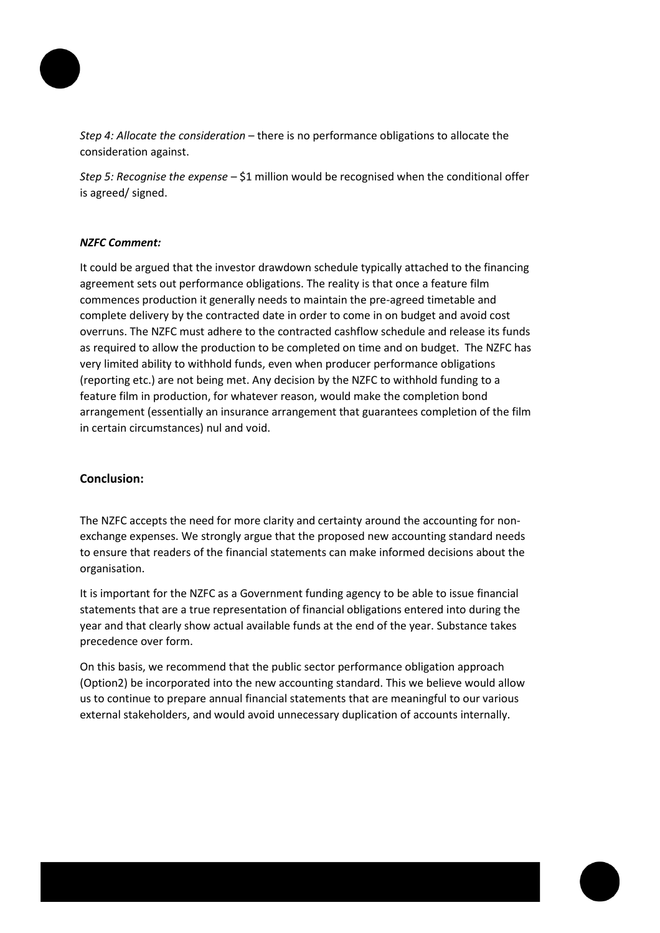

*Step 4: Allocate the consideration* – there is no performance obligations to allocate the consideration against.

*Step 5: Recognise the expense* – \$1 million would be recognised when the conditional offer is agreed/ signed.

#### *NZFC Comment:*

It could be argued that the investor drawdown schedule typically attached to the financing agreement sets out performance obligations. The reality is that once a feature film commences production it generally needs to maintain the pre-agreed timetable and complete delivery by the contracted date in order to come in on budget and avoid cost overruns. The NZFC must adhere to the contracted cashflow schedule and release its funds as required to allow the production to be completed on time and on budget. The NZFC has very limited ability to withhold funds, even when producer performance obligations (reporting etc.) are not being met. Any decision by the NZFC to withhold funding to a feature film in production, for whatever reason, would make the completion bond arrangement (essentially an insurance arrangement that guarantees completion of the film in certain circumstances) nul and void.

## **Conclusion:**

The NZFC accepts the need for more clarity and certainty around the accounting for nonexchange expenses. We strongly argue that the proposed new accounting standard needs to ensure that readers of the financial statements can make informed decisions about the organisation.

It is important for the NZFC as a Government funding agency to be able to issue financial statements that are a true representation of financial obligations entered into during the year and that clearly show actual available funds at the end of the year. Substance takes precedence over form.

On this basis, we recommend that the public sector performance obligation approach (Option2) be incorporated into the new accounting standard. This we believe would allow us to continue to prepare annual financial statements that are meaningful to our various external stakeholders, and would avoid unnecessary duplication of accounts internally.